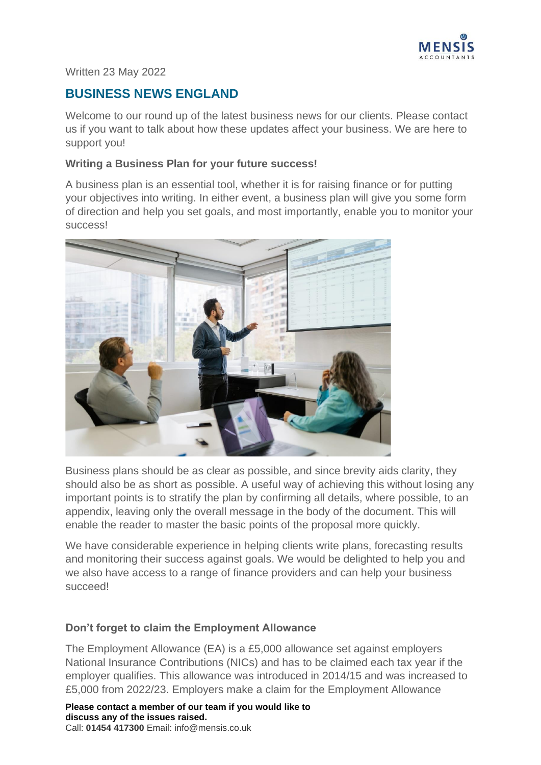

#### Written 23 May 2022

# **BUSINESS NEWS ENGLAND**

Welcome to our round up of the latest business news for our clients. Please contact us if you want to talk about how these updates affect your business. We are here to support you!

#### **Writing a Business Plan for your future success!**

A business plan is an essential tool, whether it is for raising finance or for putting your objectives into writing. In either event, a business plan will give you some form of direction and help you set goals, and most importantly, enable you to monitor your success!



Business plans should be as clear as possible, and since brevity aids clarity, they should also be as short as possible. A useful way of achieving this without losing any important points is to stratify the plan by confirming all details, where possible, to an appendix, leaving only the overall message in the body of the document. This will enable the reader to master the basic points of the proposal more quickly.

We have considerable experience in helping clients write plans, forecasting results and monitoring their success against goals. We would be delighted to help you and we also have access to a range of finance providers and can help your business succeed!

### **Don't forget to claim the Employment Allowance**

The Employment Allowance (EA) is a £5,000 allowance set against employers National Insurance Contributions (NICs) and has to be claimed each tax year if the employer qualifies. This allowance was introduced in 2014/15 and was increased to £5,000 from 2022/23. Employers make a claim for the Employment Allowance

**Please contact a member of our team if you would like to discuss any of the issues raised.**  Call: **01454 417300** Email: info@mensis.co.uk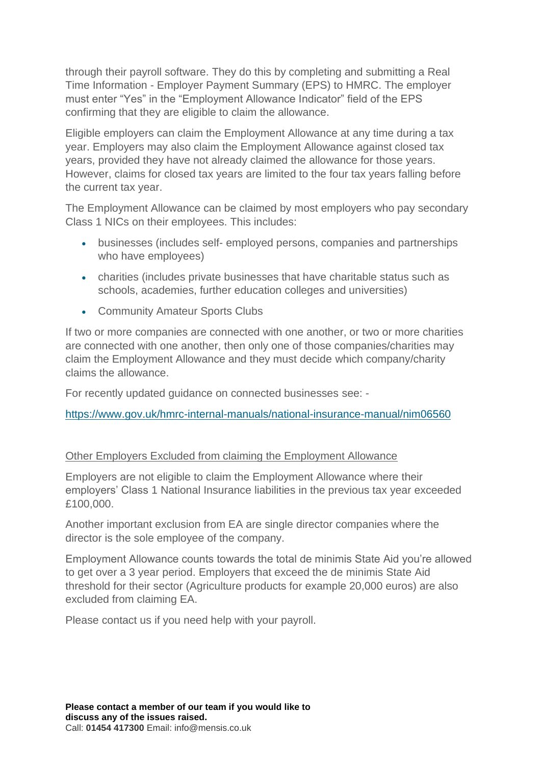through their payroll software. They do this by completing and submitting a Real Time Information - Employer Payment Summary (EPS) to HMRC. The employer must enter "Yes" in the "Employment Allowance Indicator" field of the EPS confirming that they are eligible to claim the allowance.

Eligible employers can claim the Employment Allowance at any time during a tax year. Employers may also claim the Employment Allowance against closed tax years, provided they have not already claimed the allowance for those years. However, claims for closed tax years are limited to the four tax years falling before the current tax year.

The Employment Allowance can be claimed by most employers who pay secondary Class 1 NICs on their employees. This includes:

- businesses (includes self- employed persons, companies and partnerships who have employees)
- charities (includes private businesses that have charitable status such as schools, academies, further education colleges and universities)
- Community Amateur Sports Clubs

If two or more companies are connected with one another, or two or more charities are connected with one another, then only one of those companies/charities may claim the Employment Allowance and they must decide which company/charity claims the allowance.

For recently updated guidance on connected businesses see: -

<https://www.gov.uk/hmrc-internal-manuals/national-insurance-manual/nim06560>

### Other Employers Excluded from claiming the Employment Allowance

Employers are not eligible to claim the Employment Allowance where their employers' Class 1 National Insurance liabilities in the previous tax year exceeded £100,000.

Another important exclusion from EA are single director companies where the director is the sole employee of the company.

Employment Allowance counts towards the total de minimis State Aid you're allowed to get over a 3 year period. Employers that exceed the de minimis State Aid threshold for their sector (Agriculture products for example 20,000 euros) are also excluded from claiming EA.

Please contact us if you need help with your payroll.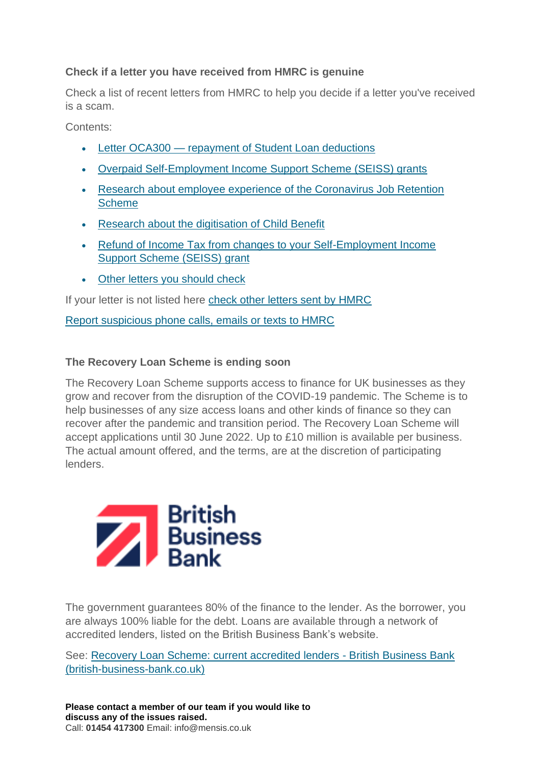# **Check if a letter you have received from HMRC is genuine**

Check a list of recent letters from HMRC to help you decide if a letter you've received is a scam.

Contents:

- Letter OCA300 [repayment of Student Loan deductions](https://www.gov.uk/guidance/check-if-a-letter-youve-received-from-hmrc-is-genuine#letter-oca300--repayment-of-student-loan-deductions)
- [Overpaid Self-Employment Income Support Scheme \(SEISS\) grants](https://www.gov.uk/guidance/check-if-a-letter-youve-received-from-hmrc-is-genuine#overpaid-self-employment-income-support-scheme-seiss-grants)
- [Research about employee experience of the Coronavirus Job Retention](https://www.gov.uk/guidance/check-if-a-letter-youve-received-from-hmrc-is-genuine#research-about-employee-experience-of-the-coronavirus-job-retention-scheme)  **[Scheme](https://www.gov.uk/guidance/check-if-a-letter-youve-received-from-hmrc-is-genuine#research-about-employee-experience-of-the-coronavirus-job-retention-scheme)**
- [Research about the digitisation of Child Benefit](https://www.gov.uk/guidance/check-if-a-letter-youve-received-from-hmrc-is-genuine#research-about-the-digitisation-of-child-benefit)
- [Refund of Income Tax from changes to your Self-Employment Income](https://www.gov.uk/guidance/check-if-a-letter-youve-received-from-hmrc-is-genuine#refund-of-income-tax-from-changes-to-your-self-employment-income-support-scheme-seiss-grant)  [Support Scheme \(SEISS\) grant](https://www.gov.uk/guidance/check-if-a-letter-youve-received-from-hmrc-is-genuine#refund-of-income-tax-from-changes-to-your-self-employment-income-support-scheme-seiss-grant)
- [Other letters you should check](https://www.gov.uk/guidance/check-if-a-letter-youve-received-from-hmrc-is-genuine#other-letters-you-should-check)

If your letter is not listed here [check other letters sent by HMRC](https://www.gov.uk/guidance/check-genuine-hmrc-contact-that-uses-more-than-one-communication-method)

[Report suspicious phone calls, emails or texts to HMRC](https://www.gov.uk/government/organisations/hm-revenue-customs/contact/reporting-fraudulent-emails)

## **The Recovery Loan Scheme is ending soon**

The Recovery Loan Scheme supports access to finance for UK businesses as they grow and recover from the disruption of the COVID-19 pandemic. The Scheme is to help businesses of any size access loans and other kinds of finance so they can recover after the pandemic and transition period. The Recovery Loan Scheme will accept applications until 30 June 2022. Up to £10 million is available per business. The actual amount offered, and the terms, are at the discretion of participating lenders.



The government guarantees 80% of the finance to the lender. As the borrower, you are always 100% liable for the debt. Loans are available through a network of accredited lenders, listed on the British Business Bank's website.

See: [Recovery Loan Scheme: current accredited lenders -](https://www.british-business-bank.co.uk/ourpartners/recovery-loan-scheme/current-accredited-lenders/) British Business Bank [\(british-business-bank.co.uk\)](https://www.british-business-bank.co.uk/ourpartners/recovery-loan-scheme/current-accredited-lenders/)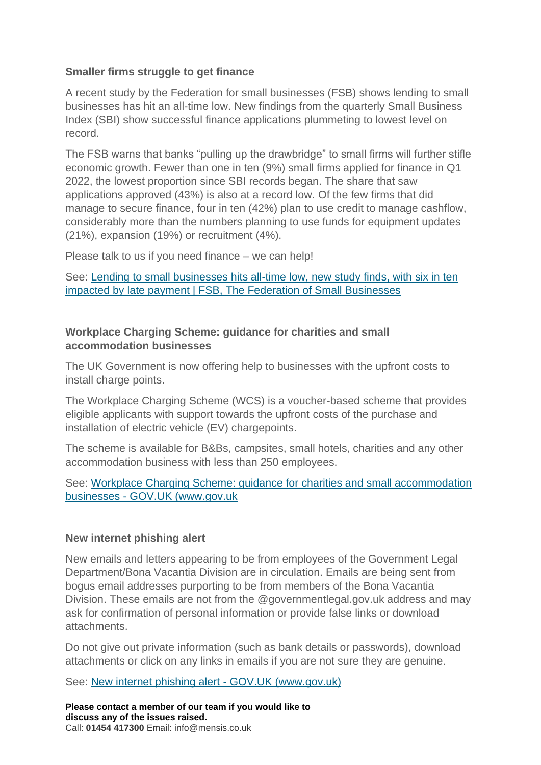#### **Smaller firms struggle to get finance**

A recent study by the Federation for small businesses (FSB) shows lending to small businesses has hit an all-time low. New findings from the quarterly Small Business Index (SBI) show successful finance applications plummeting to lowest level on record.

The FSB warns that banks "pulling up the drawbridge" to small firms will further stifle economic growth. Fewer than one in ten (9%) small firms applied for finance in Q1 2022, the lowest proportion since SBI records began. The share that saw applications approved (43%) is also at a record low. Of the few firms that did manage to secure finance, four in ten (42%) plan to use credit to manage cashflow, considerably more than the numbers planning to use funds for equipment updates (21%), expansion (19%) or recruitment (4%).

Please talk to us if you need finance – we can help!

See: [Lending to small businesses hits all-time low, new study finds, with six in ten](https://www.fsb.org.uk/resources-page/lending-to-small-businesses-hits-all-time-low-new-study-finds-with-six-in-ten-impacted-by-late-payment.html)  [impacted by late payment | FSB, The Federation of Small Businesses](https://www.fsb.org.uk/resources-page/lending-to-small-businesses-hits-all-time-low-new-study-finds-with-six-in-ten-impacted-by-late-payment.html)

### **Workplace Charging Scheme: guidance for charities and small accommodation businesses**

The UK Government is now offering help to businesses with the upfront costs to install charge points.

The Workplace Charging Scheme (WCS) is a voucher-based scheme that provides eligible applicants with support towards the upfront costs of the purchase and installation of electric vehicle (EV) chargepoints.

The scheme is available for B&Bs, campsites, small hotels, charities and any other accommodation business with less than 250 employees.

See: [Workplace Charging Scheme: guidance for charities and small accommodation](https://www.gov.uk/guidance/workplace-charging-scheme-guidance-for-charities-and-small-accommodation-businesses)  businesses - [GOV.UK \(www.gov.uk](https://www.gov.uk/guidance/workplace-charging-scheme-guidance-for-charities-and-small-accommodation-businesses)

#### **New internet phishing alert**

New emails and letters appearing to be from employees of the Government Legal Department/Bona Vacantia Division are in circulation. Emails are being sent from bogus email addresses purporting to be from members of the Bona Vacantia Division. These emails are not from the @governmentlegal.gov.uk address and may ask for confirmation of personal information or provide false links or download attachments.

Do not give out private information (such as bank details or passwords), download attachments or click on any links in emails if you are not sure they are genuine.

See: [New internet phishing alert -](https://www.gov.uk/government/news/internet-phishing-alert) GOV.UK (www.gov.uk)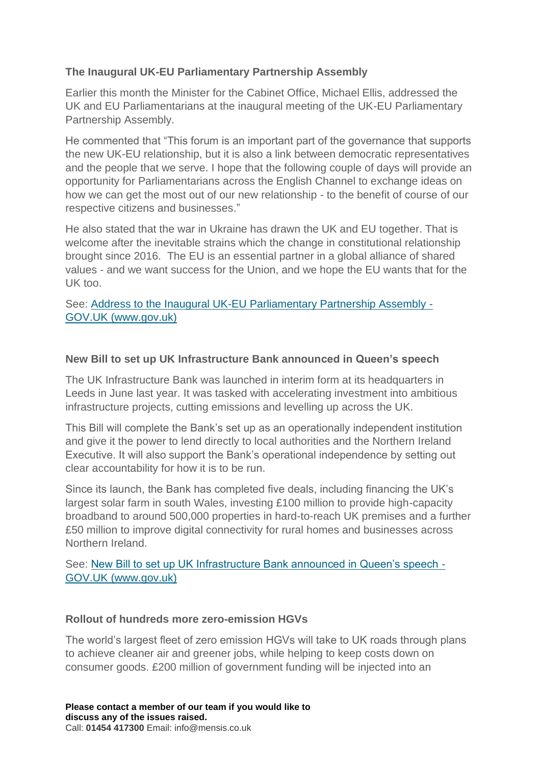### **The Inaugural UK-EU Parliamentary Partnership Assembly**

Earlier this month the Minister for the Cabinet Office, Michael Ellis, addressed the UK and EU Parliamentarians at the inaugural meeting of the UK-EU Parliamentary Partnership Assembly.

He commented that "This forum is an important part of the governance that supports the new UK-EU relationship, but it is also a link between democratic representatives and the people that we serve. I hope that the following couple of days will provide an opportunity for Parliamentarians across the English Channel to exchange ideas on how we can get the most out of our new relationship - to the benefit of course of our respective citizens and businesses."

He also stated that the war in Ukraine has drawn the UK and EU together. That is welcome after the inevitable strains which the change in constitutional relationship brought since 2016. The EU is an essential partner in a global alliance of shared values - and we want success for the Union, and we hope the EU wants that for the UK too.

See: [Address to the Inaugural UK-EU Parliamentary Partnership Assembly -](https://www.gov.uk/government/speeches/address-to-the-inaugural-uk-eu-parliamentary-partnership-assembly) [GOV.UK \(www.gov.uk\)](https://www.gov.uk/government/speeches/address-to-the-inaugural-uk-eu-parliamentary-partnership-assembly)

### **New Bill to set up UK Infrastructure Bank announced in Queen's speech**

The UK Infrastructure Bank was launched in interim form at its headquarters in Leeds in June last year. It was tasked with accelerating investment into ambitious infrastructure projects, cutting emissions and levelling up across the UK.

This Bill will complete the Bank's set up as an operationally independent institution and give it the power to lend directly to local authorities and the Northern Ireland Executive. It will also support the Bank's operational independence by setting out clear accountability for how it is to be run.

Since its launch, the Bank has completed five deals, including financing the UK's largest solar farm in south Wales, investing £100 million to provide high-capacity broadband to around 500,000 properties in hard-to-reach UK premises and a further £50 million to improve digital connectivity for rural homes and businesses across Northern Ireland.

See: [New Bill to set up UK Infrastructure Bank announced in Queen's speech -](https://www.gov.uk/government/news/new-bill-to-set-up-uk-infrastructure-bank-announced-in-queens-speech) [GOV.UK \(www.gov.uk\)](https://www.gov.uk/government/news/new-bill-to-set-up-uk-infrastructure-bank-announced-in-queens-speech)

#### **Rollout of hundreds more zero-emission HGVs**

The world's largest fleet of zero emission HGVs will take to UK roads through plans to achieve cleaner air and greener jobs, while helping to keep costs down on consumer goods. £200 million of government funding will be injected into an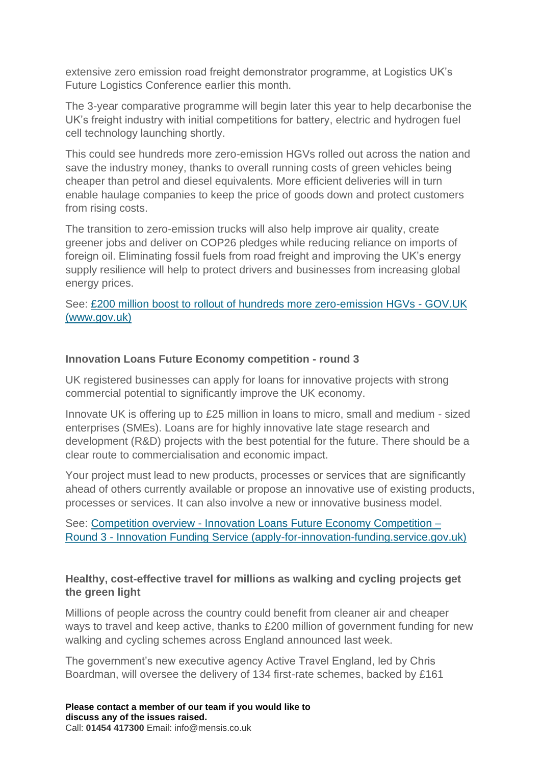extensive zero emission road freight demonstrator programme, at Logistics UK's Future Logistics Conference earlier this month.

The 3-year comparative programme will begin later this year to help decarbonise the UK's freight industry with initial competitions for battery, electric and hydrogen fuel cell technology launching shortly.

This could see hundreds more zero-emission HGVs rolled out across the nation and save the industry money, thanks to overall running costs of green vehicles being cheaper than petrol and diesel equivalents. More efficient deliveries will in turn enable haulage companies to keep the price of goods down and protect customers from rising costs.

The transition to zero-emission trucks will also help improve air quality, create greener jobs and deliver on COP26 pledges while reducing reliance on imports of foreign oil. Eliminating fossil fuels from road freight and improving the UK's energy supply resilience will help to protect drivers and businesses from increasing global energy prices.

See: [£200 million boost to rollout of hundreds more zero-emission HGVs -](https://www.gov.uk/government/news/200-million-boost-to-rollout-of-hundreds-more-zero-emission-hgvs) GOV.UK [\(www.gov.uk\)](https://www.gov.uk/government/news/200-million-boost-to-rollout-of-hundreds-more-zero-emission-hgvs)

#### **Innovation Loans Future Economy competition - round 3**

UK registered businesses can apply for loans for innovative projects with strong commercial potential to significantly improve the UK economy.

Innovate UK is offering up to £25 million in loans to micro, small and medium - sized enterprises (SMEs). Loans are for highly innovative late stage research and development (R&D) projects with the best potential for the future. There should be a clear route to commercialisation and economic impact.

Your project must lead to new products, processes or services that are significantly ahead of others currently available or propose an innovative use of existing products, processes or services. It can also involve a new or innovative business model.

See: Competition overview - [Innovation Loans Future Economy Competition –](https://apply-for-innovation-funding.service.gov.uk/competition/1172/overview) Round 3 - [Innovation Funding Service \(apply-for-innovation-funding.service.gov.uk\)](https://apply-for-innovation-funding.service.gov.uk/competition/1172/overview)

### **Healthy, cost-effective travel for millions as walking and cycling projects get the green light**

Millions of people across the country could benefit from cleaner air and cheaper ways to travel and keep active, thanks to £200 million of government funding for new walking and cycling schemes across England announced last week.

The government's new executive agency Active Travel England, led by Chris Boardman, will oversee the delivery of 134 first-rate schemes, backed by £161